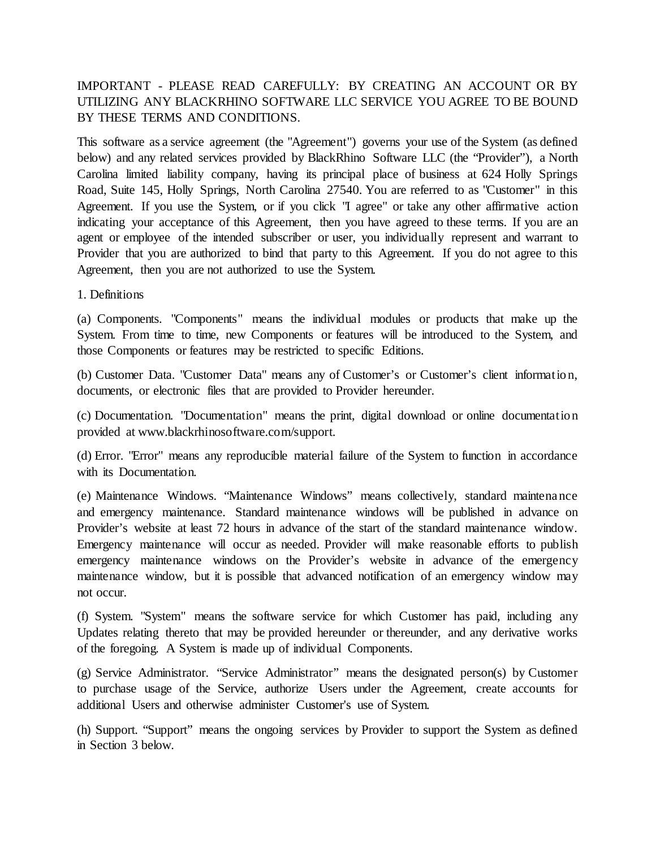# IMPORTANT - PLEASE READ CAREFULLY: BY CREATING AN ACCOUNT OR BY UTILIZING ANY BLACKRHINO SOFTWARE LLC SERVICE YOU AGREE TO BE BOUND BY THESE TERMS AND CONDITIONS.

This software as a service agreement (the "Agreement") governs your use of the System (as defined below) and any related services provided by BlackRhino Software LLC (the "Provider"), a North Carolina limited liability company, having its principal place of business at 624 Holly Springs Road, Suite 145, Holly Springs, North Carolina 27540. You are referred to as "Customer" in this Agreement. If you use the System, or if you click "I agree" or take any other affirmative action indicating your acceptance of this Agreement, then you have agreed to these terms. If you are an agent or employee of the intended subscriber or user, you individually represent and warrant to Provider that you are authorized to bind that party to this Agreement. If you do not agree to this Agreement, then you are not authorized to use the System.

1. Definitions

(a) Components. "Components" means the individual modules or products that make up the System. From time to time, new Components or features will be introduced to the System, and those Components or features may be restricted to specific Editions.

(b) Customer Data. "Customer Data" means any of Customer's or Customer's client informatio n, documents, or electronic files that are provided to Provider hereunder.

(c) Documentation. "Documentation" means the print, digital download or online documentatio n provided at www.blackrhinosoftware.com/support.

(d) Error. "Error" means any reproducible material failure of the System to function in accordance with its Documentation.

(e) Maintenance Windows. "Maintenance Windows" means collectively, standard maintenance and emergency maintenance. Standard maintenance windows will be published in advance on Provider's website at least 72 hours in advance of the start of the standard maintenance window. Emergency maintenance will occur as needed. Provider will make reasonable efforts to publish emergency maintenance windows on the Provider's website in advance of the emergency maintenance window, but it is possible that advanced notification of an emergency window may not occur.

(f) System. "System" means the software service for which Customer has paid, including any Updates relating thereto that may be provided hereunder or thereunder, and any derivative works of the foregoing. A System is made up of individual Components.

(g) Service Administrator. "Service Administrator" means the designated person(s) by Customer to purchase usage of the Service, authorize Users under the Agreement, create accounts for additional Users and otherwise administer Customer's use of System.

(h) Support. "Support" means the ongoing services by Provider to support the System as defined in Section 3 below.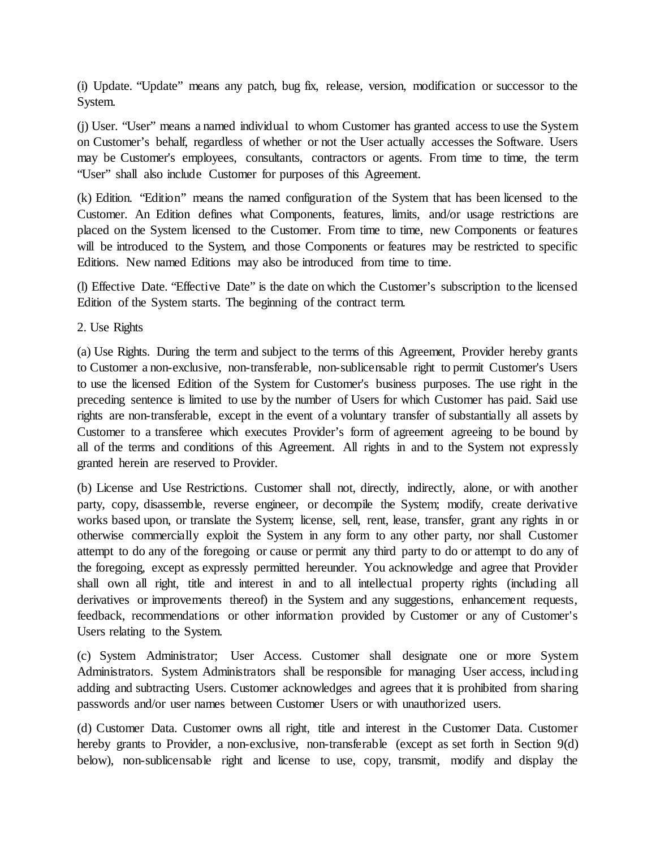(i) Update. "Update" means any patch, bug fix, release, version, modification or successor to the System.

(j) User. "User" means a named individual to whom Customer has granted access to use the System on Customer's behalf, regardless of whether or not the User actually accesses the Software. Users may be Customer's employees, consultants, contractors or agents. From time to time, the term "User" shall also include Customer for purposes of this Agreement.

(k) Edition. "Edition" means the named configuration of the System that has been licensed to the Customer. An Edition defines what Components, features, limits, and/or usage restrictions are placed on the System licensed to the Customer. From time to time, new Components or features will be introduced to the System, and those Components or features may be restricted to specific Editions. New named Editions may also be introduced from time to time.

(l) Effective Date. "Effective Date" is the date on which the Customer's subscription to the licensed Edition of the System starts. The beginning of the contract term.

2. Use Rights

(a) Use Rights. During the term and subject to the terms of this Agreement, Provider hereby grants to Customer a non-exclusive, non-transferable, non-sublicensable right to permit Customer's Users to use the licensed Edition of the System for Customer's business purposes. The use right in the preceding sentence is limited to use by the number of Users for which Customer has paid. Said use rights are non-transferable, except in the event of a voluntary transfer of substantially all assets by Customer to a transferee which executes Provider's form of agreement agreeing to be bound by all of the terms and conditions of this Agreement. All rights in and to the System not expressly granted herein are reserved to Provider.

(b) License and Use Restrictions. Customer shall not, directly, indirectly, alone, or with another party, copy, disassemble, reverse engineer, or decompile the System; modify, create derivative works based upon, or translate the System; license, sell, rent, lease, transfer, grant any rights in or otherwise commercially exploit the System in any form to any other party, nor shall Customer attempt to do any of the foregoing or cause or permit any third party to do or attempt to do any of the foregoing, except as expressly permitted hereunder. You acknowledge and agree that Provider shall own all right, title and interest in and to all intellectual property rights (including all derivatives or improvements thereof) in the System and any suggestions, enhancement requests, feedback, recommendations or other information provided by Customer or any of Customer's Users relating to the System.

(c) System Administrator; User Access. Customer shall designate one or more System Administrators. System Administrators shall be responsible for managing User access, including adding and subtracting Users. Customer acknowledges and agrees that it is prohibited from sharing passwords and/or user names between Customer Users or with unauthorized users.

(d) Customer Data. Customer owns all right, title and interest in the Customer Data. Customer hereby grants to Provider, a non-exclusive, non-transferable (except as set forth in Section 9(d) below), non-sublicensable right and license to use, copy, transmit, modify and display the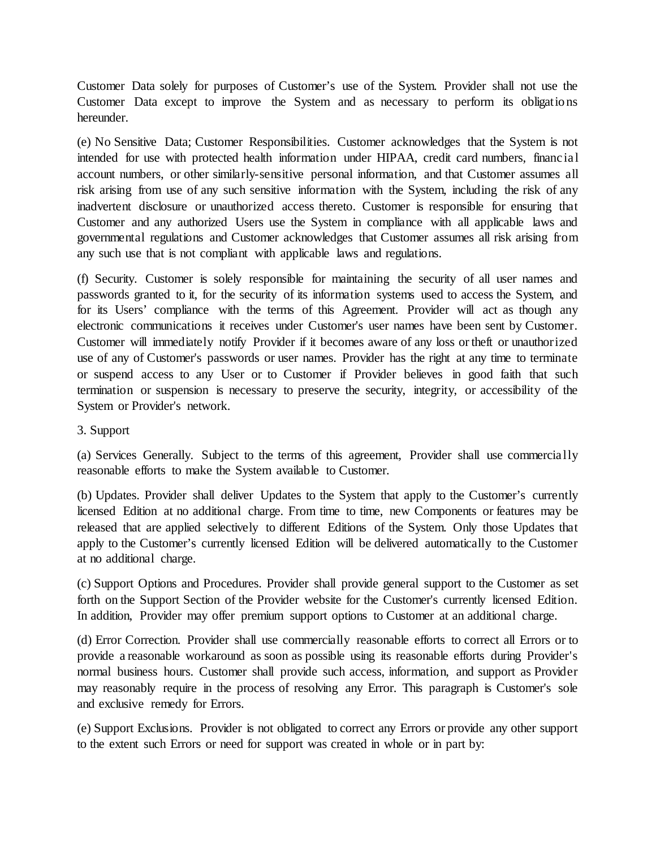Customer Data solely for purposes of Customer's use of the System. Provider shall not use the Customer Data except to improve the System and as necessary to perform its obligatio ns hereunder.

(e) No Sensitive Data; Customer Responsibilities. Customer acknowledges that the System is not intended for use with protected health information under HIPAA, credit card numbers, financial account numbers, or other similarly-sensitive personal information, and that Customer assumes all risk arising from use of any such sensitive information with the System, including the risk of any inadvertent disclosure or unauthorized access thereto. Customer is responsible for ensuring that Customer and any authorized Users use the System in compliance with all applicable laws and governmental regulations and Customer acknowledges that Customer assumes all risk arising from any such use that is not compliant with applicable laws and regulations.

(f) Security. Customer is solely responsible for maintaining the security of all user names and passwords granted to it, for the security of its information systems used to access the System, and for its Users' compliance with the terms of this Agreement. Provider will act as though any electronic communications it receives under Customer's user names have been sent by Customer. Customer will immediately notify Provider if it becomes aware of any loss or theft or unauthorized use of any of Customer's passwords or user names. Provider has the right at any time to terminate or suspend access to any User or to Customer if Provider believes in good faith that such termination or suspension is necessary to preserve the security, integrity, or accessibility of the System or Provider's network.

### 3. Support

(a) Services Generally. Subject to the terms of this agreement, Provider shall use commercially reasonable efforts to make the System available to Customer.

(b) Updates. Provider shall deliver Updates to the System that apply to the Customer's currently licensed Edition at no additional charge. From time to time, new Components or features may be released that are applied selectively to different Editions of the System. Only those Updates that apply to the Customer's currently licensed Edition will be delivered automatically to the Customer at no additional charge.

(c) Support Options and Procedures. Provider shall provide general support to the Customer as set forth on the Support Section of the Provider website for the Customer's currently licensed Edition. In addition, Provider may offer premium support options to Customer at an additional charge.

(d) Error Correction. Provider shall use commercially reasonable efforts to correct all Errors or to provide a reasonable workaround as soon as possible using its reasonable efforts during Provider's normal business hours. Customer shall provide such access, information, and support as Provider may reasonably require in the process of resolving any Error. This paragraph is Customer's sole and exclusive remedy for Errors.

(e) Support Exclusions. Provider is not obligated to correct any Errors or provide any other support to the extent such Errors or need for support was created in whole or in part by: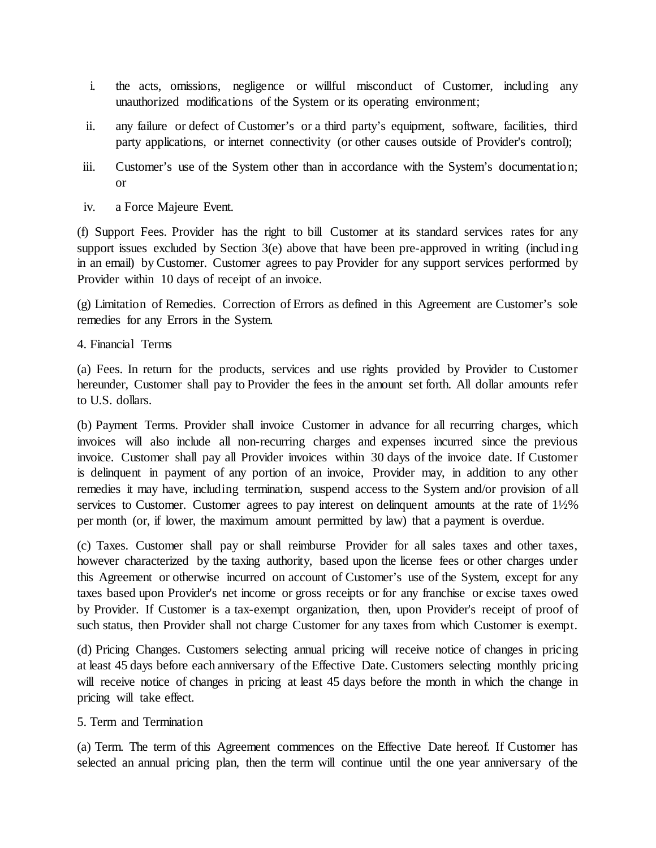- i. the acts, omissions, negligence or willful misconduct of Customer, including any unauthorized modifications of the System or its operating environment;
- ii. any failure or defect of Customer's or a third party's equipment, software, facilities, third party applications, or internet connectivity (or other causes outside of Provider's control);
- iii. Customer's use of the System other than in accordance with the System's documentatio n; or
- iv. a Force Majeure Event.

(f) Support Fees. Provider has the right to bill Customer at its standard services rates for any support issues excluded by Section 3(e) above that have been pre-approved in writing (including in an email) by Customer. Customer agrees to pay Provider for any support services performed by Provider within 10 days of receipt of an invoice.

(g) Limitation of Remedies. Correction of Errors as defined in this Agreement are Customer's sole remedies for any Errors in the System.

4. Financial Terms

(a) Fees. In return for the products, services and use rights provided by Provider to Customer hereunder, Customer shall pay to Provider the fees in the amount set forth. All dollar amounts refer to U.S. dollars.

(b) Payment Terms. Provider shall invoice Customer in advance for all recurring charges, which invoices will also include all non-recurring charges and expenses incurred since the previous invoice. Customer shall pay all Provider invoices within 30 days of the invoice date. If Customer is delinquent in payment of any portion of an invoice, Provider may, in addition to any other remedies it may have, including termination, suspend access to the System and/or provision of all services to Customer. Customer agrees to pay interest on delinquent amounts at the rate of  $1\frac{1}{2}\%$ per month (or, if lower, the maximum amount permitted by law) that a payment is overdue.

(c) Taxes. Customer shall pay or shall reimburse Provider for all sales taxes and other taxes, however characterized by the taxing authority, based upon the license fees or other charges under this Agreement or otherwise incurred on account of Customer's use of the System, except for any taxes based upon Provider's net income or gross receipts or for any franchise or excise taxes owed by Provider. If Customer is a tax-exempt organization, then, upon Provider's receipt of proof of such status, then Provider shall not charge Customer for any taxes from which Customer is exempt.

(d) Pricing Changes. Customers selecting annual pricing will receive notice of changes in pricing at least 45 days before each anniversary of the Effective Date. Customers selecting monthly pricing will receive notice of changes in pricing at least 45 days before the month in which the change in pricing will take effect.

### 5. Term and Termination

(a) Term. The term of this Agreement commences on the Effective Date hereof. If Customer has selected an annual pricing plan, then the term will continue until the one year anniversary of the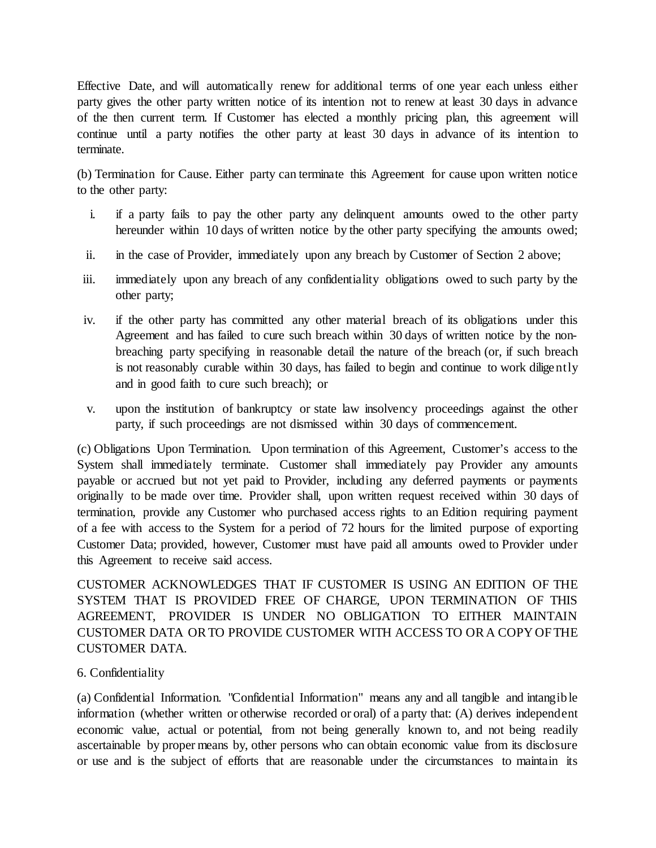Effective Date, and will automatically renew for additional terms of one year each unless either party gives the other party written notice of its intention not to renew at least 30 days in advance of the then current term. If Customer has elected a monthly pricing plan, this agreement will continue until a party notifies the other party at least 30 days in advance of its intention to terminate.

(b) Termination for Cause. Either party can terminate this Agreement for cause upon written notice to the other party:

- i. if a party fails to pay the other party any delinquent amounts owed to the other party hereunder within 10 days of written notice by the other party specifying the amounts owed;
- ii. in the case of Provider, immediately upon any breach by Customer of Section 2 above;
- iii. immediately upon any breach of any confidentiality obligations owed to such party by the other party;
- iv. if the other party has committed any other material breach of its obligations under this Agreement and has failed to cure such breach within 30 days of written notice by the nonbreaching party specifying in reasonable detail the nature of the breach (or, if such breach is not reasonably curable within 30 days, has failed to begin and continue to work diligently and in good faith to cure such breach); or
- v. upon the institution of bankruptcy or state law insolvency proceedings against the other party, if such proceedings are not dismissed within 30 days of commencement.

(c) Obligations Upon Termination. Upon termination of this Agreement, Customer's access to the System shall immediately terminate. Customer shall immediately pay Provider any amounts payable or accrued but not yet paid to Provider, including any deferred payments or payments originally to be made over time. Provider shall, upon written request received within 30 days of termination, provide any Customer who purchased access rights to an Edition requiring payment of a fee with access to the System for a period of 72 hours for the limited purpose of exporting Customer Data; provided, however, Customer must have paid all amounts owed to Provider under this Agreement to receive said access.

CUSTOMER ACKNOWLEDGES THAT IF CUSTOMER IS USING AN EDITION OF THE SYSTEM THAT IS PROVIDED FREE OF CHARGE, UPON TERMINATION OF THIS AGREEMENT, PROVIDER IS UNDER NO OBLIGATION TO EITHER MAINTAIN CUSTOMER DATA OR TO PROVIDE CUSTOMER WITH ACCESS TO OR A COPY OF THE CUSTOMER DATA.

## 6. Confidentiality

(a) Confidential Information. "Confidential Information" means any and all tangible and intangib le information (whether written or otherwise recorded or oral) of a party that: (A) derives independent economic value, actual or potential, from not being generally known to, and not being readily ascertainable by proper means by, other persons who can obtain economic value from its disclosure or use and is the subject of efforts that are reasonable under the circumstances to maintain its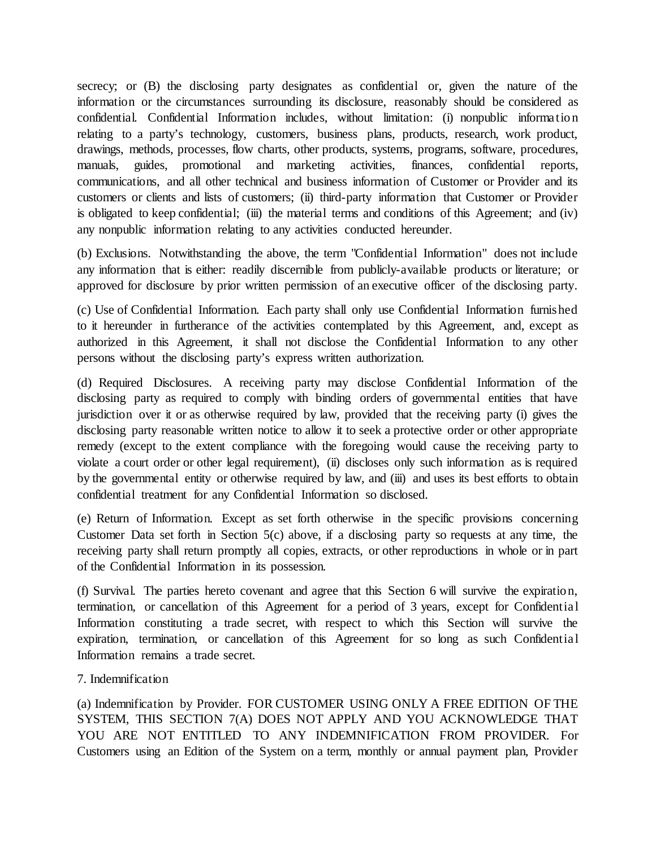secrecy; or (B) the disclosing party designates as confidential or, given the nature of the information or the circumstances surrounding its disclosure, reasonably should be considered as confidential. Confidential Information includes, without limitation: (i) nonpublic informatio n relating to a party's technology, customers, business plans, products, research, work product, drawings, methods, processes, flow charts, other products, systems, programs, software, procedures, manuals, guides, promotional and marketing activities, finances, confidential reports, communications, and all other technical and business information of Customer or Provider and its customers or clients and lists of customers; (ii) third-party information that Customer or Provider is obligated to keep confidential; (iii) the material terms and conditions of this Agreement; and (iv) any nonpublic information relating to any activities conducted hereunder.

(b) Exclusions. Notwithstanding the above, the term "Confidential Information" does not include any information that is either: readily discernible from publicly-available products or literature; or approved for disclosure by prior written permission of an executive officer of the disclosing party.

(c) Use of Confidential Information. Each party shall only use Confidential Information furnished to it hereunder in furtherance of the activities contemplated by this Agreement, and, except as authorized in this Agreement, it shall not disclose the Confidential Information to any other persons without the disclosing party's express written authorization.

(d) Required Disclosures. A receiving party may disclose Confidential Information of the disclosing party as required to comply with binding orders of governmental entities that have jurisdiction over it or as otherwise required by law, provided that the receiving party (i) gives the disclosing party reasonable written notice to allow it to seek a protective order or other appropriate remedy (except to the extent compliance with the foregoing would cause the receiving party to violate a court order or other legal requirement), (ii) discloses only such information as is required by the governmental entity or otherwise required by law, and (iii) and uses its best efforts to obtain confidential treatment for any Confidential Information so disclosed.

(e) Return of Information. Except as set forth otherwise in the specific provisions concerning Customer Data set forth in Section 5(c) above, if a disclosing party so requests at any time, the receiving party shall return promptly all copies, extracts, or other reproductions in whole or in part of the Confidential Information in its possession.

(f) Survival. The parties hereto covenant and agree that this Section 6 will survive the expiratio n, termination, or cancellation of this Agreement for a period of 3 years, except for Confidential Information constituting a trade secret, with respect to which this Section will survive the expiration, termination, or cancellation of this Agreement for so long as such Confidential Information remains a trade secret.

### 7. Indemnification

(a) Indemnification by Provider. FOR CUSTOMER USING ONLY A FREE EDITION OF THE SYSTEM, THIS SECTION 7(A) DOES NOT APPLY AND YOU ACKNOWLEDGE THAT YOU ARE NOT ENTITLED TO ANY INDEMNIFICATION FROM PROVIDER. For Customers using an Edition of the System on a term, monthly or annual payment plan, Provider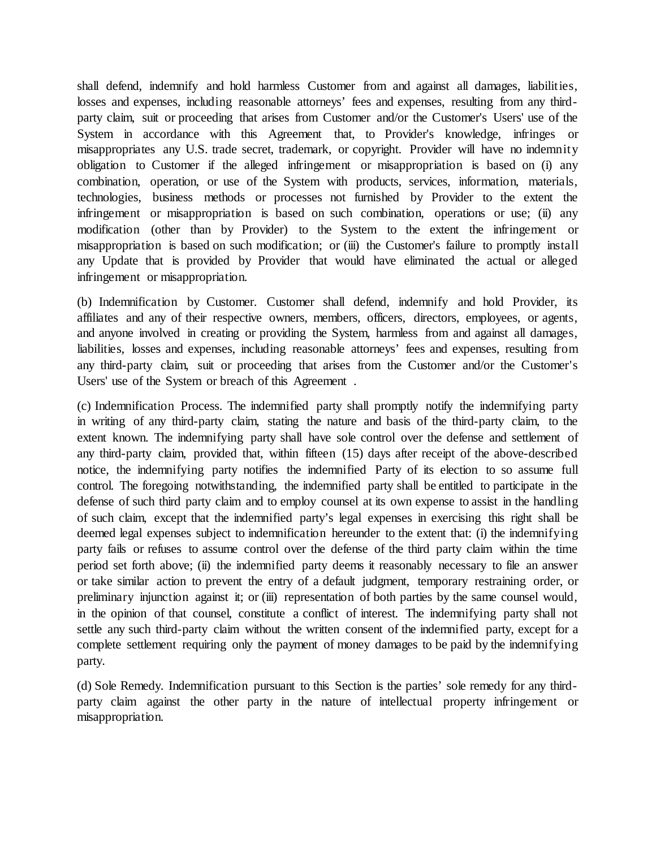shall defend, indemnify and hold harmless Customer from and against all damages, liabilities, losses and expenses, including reasonable attorneys' fees and expenses, resulting from any thirdparty claim, suit or proceeding that arises from Customer and/or the Customer's Users' use of the System in accordance with this Agreement that, to Provider's knowledge, infringes or misappropriates any U.S. trade secret, trademark, or copyright. Provider will have no indemnity obligation to Customer if the alleged infringement or misappropriation is based on (i) any combination, operation, or use of the System with products, services, information, materials, technologies, business methods or processes not furnished by Provider to the extent the infringement or misappropriation is based on such combination, operations or use; (ii) any modification (other than by Provider) to the System to the extent the infringement or misappropriation is based on such modification; or (iii) the Customer's failure to promptly install any Update that is provided by Provider that would have eliminated the actual or alleged infringement or misappropriation.

(b) Indemnification by Customer. Customer shall defend, indemnify and hold Provider, its affiliates and any of their respective owners, members, officers, directors, employees, or agents, and anyone involved in creating or providing the System, harmless from and against all damages, liabilities, losses and expenses, including reasonable attorneys' fees and expenses, resulting from any third-party claim, suit or proceeding that arises from the Customer and/or the Customer's Users' use of the System or breach of this Agreement .

(c) Indemnification Process. The indemnified party shall promptly notify the indemnifying party in writing of any third-party claim, stating the nature and basis of the third-party claim, to the extent known. The indemnifying party shall have sole control over the defense and settlement of any third-party claim, provided that, within fifteen (15) days after receipt of the above-described notice, the indemnifying party notifies the indemnified Party of its election to so assume full control. The foregoing notwithstanding, the indemnified party shall be entitled to participate in the defense of such third party claim and to employ counsel at its own expense to assist in the handling of such claim, except that the indemnified party's legal expenses in exercising this right shall be deemed legal expenses subject to indemnification hereunder to the extent that: (i) the indemnifying party fails or refuses to assume control over the defense of the third party claim within the time period set forth above; (ii) the indemnified party deems it reasonably necessary to file an answer or take similar action to prevent the entry of a default judgment, temporary restraining order, or preliminary injunction against it; or (iii) representation of both parties by the same counsel would, in the opinion of that counsel, constitute a conflict of interest. The indemnifying party shall not settle any such third-party claim without the written consent of the indemnified party, except for a complete settlement requiring only the payment of money damages to be paid by the indemnifying party.

(d) Sole Remedy. Indemnification pursuant to this Section is the parties' sole remedy for any thirdparty claim against the other party in the nature of intellectual property infringement or misappropriation.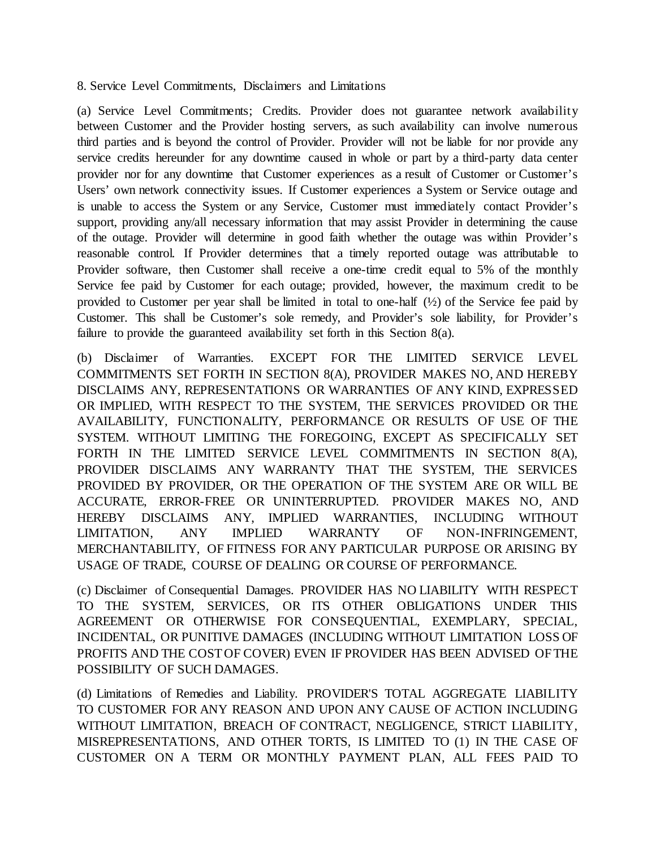8. Service Level Commitments, Disclaimers and Limitations

(a) Service Level Commitments; Credits. Provider does not guarantee network availability between Customer and the Provider hosting servers, as such availability can involve numerous third parties and is beyond the control of Provider. Provider will not be liable for nor provide any service credits hereunder for any downtime caused in whole or part by a third-party data center provider nor for any downtime that Customer experiences as a result of Customer or Customer's Users' own network connectivity issues. If Customer experiences a System or Service outage and is unable to access the System or any Service, Customer must immediately contact Provider's support, providing any/all necessary information that may assist Provider in determining the cause of the outage. Provider will determine in good faith whether the outage was within Provider's reasonable control. If Provider determines that a timely reported outage was attributable to Provider software, then Customer shall receive a one-time credit equal to 5% of the monthly Service fee paid by Customer for each outage; provided, however, the maximum credit to be provided to Customer per year shall be limited in total to one-half  $(\frac{1}{2})$  of the Service fee paid by Customer. This shall be Customer's sole remedy, and Provider's sole liability, for Provider's failure to provide the guaranteed availability set forth in this Section 8(a).

(b) Disclaimer of Warranties. EXCEPT FOR THE LIMITED SERVICE LEVEL COMMITMENTS SET FORTH IN SECTION 8(A), PROVIDER MAKES NO, AND HEREBY DISCLAIMS ANY, REPRESENTATIONS OR WARRANTIES OF ANY KIND, EXPRESSED OR IMPLIED, WITH RESPECT TO THE SYSTEM, THE SERVICES PROVIDED OR THE AVAILABILITY, FUNCTIONALITY, PERFORMANCE OR RESULTS OF USE OF THE SYSTEM. WITHOUT LIMITING THE FOREGOING, EXCEPT AS SPECIFICALLY SET FORTH IN THE LIMITED SERVICE LEVEL COMMITMENTS IN SECTION 8(A), PROVIDER DISCLAIMS ANY WARRANTY THAT THE SYSTEM, THE SERVICES PROVIDED BY PROVIDER, OR THE OPERATION OF THE SYSTEM ARE OR WILL BE ACCURATE, ERROR-FREE OR UNINTERRUPTED. PROVIDER MAKES NO, AND HEREBY DISCLAIMS ANY, IMPLIED WARRANTIES, INCLUDING WITHOUT LIMITATION, ANY IMPLIED WARRANTY OF NON-INFRINGEMENT, MERCHANTABILITY, OF FITNESS FOR ANY PARTICULAR PURPOSE OR ARISING BY USAGE OF TRADE, COURSE OF DEALING OR COURSE OF PERFORMANCE.

(c) Disclaimer of Consequential Damages. PROVIDER HAS NO LIABILITY WITH RESPECT TO THE SYSTEM, SERVICES, OR ITS OTHER OBLIGATIONS UNDER THIS AGREEMENT OR OTHERWISE FOR CONSEQUENTIAL, EXEMPLARY, SPECIAL, INCIDENTAL, OR PUNITIVE DAMAGES (INCLUDING WITHOUT LIMITATION LOSS OF PROFITS AND THE COST OF COVER) EVEN IF PROVIDER HAS BEEN ADVISED OF THE POSSIBILITY OF SUCH DAMAGES.

(d) Limitations of Remedies and Liability. PROVIDER'S TOTAL AGGREGATE LIABILITY TO CUSTOMER FOR ANY REASON AND UPON ANY CAUSE OF ACTION INCLUDING WITHOUT LIMITATION, BREACH OF CONTRACT, NEGLIGENCE, STRICT LIABILITY, MISREPRESENTATIONS, AND OTHER TORTS, IS LIMITED TO (1) IN THE CASE OF CUSTOMER ON A TERM OR MONTHLY PAYMENT PLAN, ALL FEES PAID TO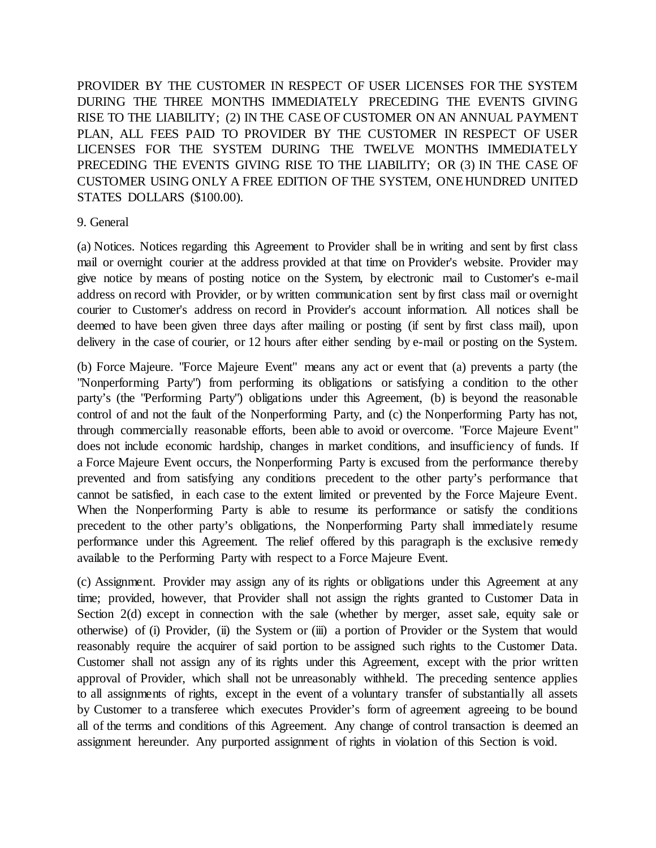PROVIDER BY THE CUSTOMER IN RESPECT OF USER LICENSES FOR THE SYSTEM DURING THE THREE MONTHS IMMEDIATELY PRECEDING THE EVENTS GIVING RISE TO THE LIABILITY; (2) IN THE CASE OF CUSTOMER ON AN ANNUAL PAYMENT PLAN, ALL FEES PAID TO PROVIDER BY THE CUSTOMER IN RESPECT OF USER LICENSES FOR THE SYSTEM DURING THE TWELVE MONTHS IMMEDIATELY PRECEDING THE EVENTS GIVING RISE TO THE LIABILITY; OR (3) IN THE CASE OF CUSTOMER USING ONLY A FREE EDITION OF THE SYSTEM, ONE HUNDRED UNITED STATES DOLLARS (\$100.00).

### 9. General

(a) Notices. Notices regarding this Agreement to Provider shall be in writing and sent by first class mail or overnight courier at the address provided at that time on Provider's website. Provider may give notice by means of posting notice on the System, by electronic mail to Customer's e-mail address on record with Provider, or by written communication sent by first class mail or overnight courier to Customer's address on record in Provider's account information. All notices shall be deemed to have been given three days after mailing or posting (if sent by first class mail), upon delivery in the case of courier, or 12 hours after either sending by e-mail or posting on the System.

(b) Force Majeure. "Force Majeure Event" means any act or event that (a) prevents a party (the "Nonperforming Party") from performing its obligations or satisfying a condition to the other party's (the "Performing Party") obligations under this Agreement, (b) is beyond the reasonable control of and not the fault of the Nonperforming Party, and (c) the Nonperforming Party has not, through commercially reasonable efforts, been able to avoid or overcome. "Force Majeure Event" does not include economic hardship, changes in market conditions, and insufficiency of funds. If a Force Majeure Event occurs, the Nonperforming Party is excused from the performance thereby prevented and from satisfying any conditions precedent to the other party's performance that cannot be satisfied, in each case to the extent limited or prevented by the Force Majeure Event. When the Nonperforming Party is able to resume its performance or satisfy the conditions precedent to the other party's obligations, the Nonperforming Party shall immediately resume performance under this Agreement. The relief offered by this paragraph is the exclusive remedy available to the Performing Party with respect to a Force Majeure Event.

(c) Assignment. Provider may assign any of its rights or obligations under this Agreement at any time; provided, however, that Provider shall not assign the rights granted to Customer Data in Section 2(d) except in connection with the sale (whether by merger, asset sale, equity sale or otherwise) of (i) Provider, (ii) the System or (iii) a portion of Provider or the System that would reasonably require the acquirer of said portion to be assigned such rights to the Customer Data. Customer shall not assign any of its rights under this Agreement, except with the prior written approval of Provider, which shall not be unreasonably withheld. The preceding sentence applies to all assignments of rights, except in the event of a voluntary transfer of substantially all assets by Customer to a transferee which executes Provider's form of agreement agreeing to be bound all of the terms and conditions of this Agreement. Any change of control transaction is deemed an assignment hereunder. Any purported assignment of rights in violation of this Section is void.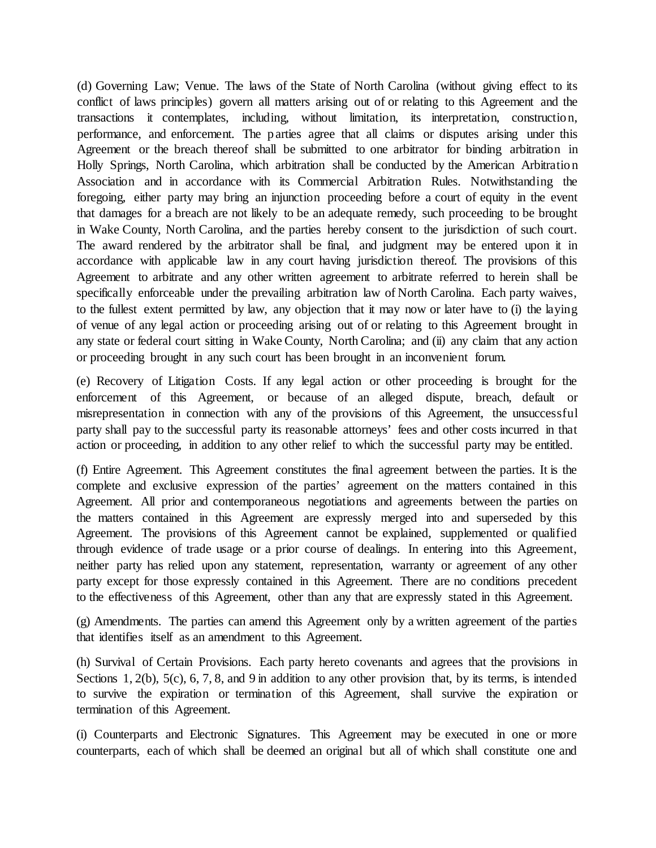(d) Governing Law; Venue. The laws of the State of North Carolina (without giving effect to its conflict of laws principles) govern all matters arising out of or relating to this Agreement and the transactions it contemplates, including, without limitation, its interpretation, constructio n, performance, and enforcement. The parties agree that all claims or disputes arising under this Agreement or the breach thereof shall be submitted to one arbitrator for binding arbitration in Holly Springs, North Carolina, which arbitration shall be conducted by the American Arbitratio n Association and in accordance with its Commercial Arbitration Rules. Notwithstanding the foregoing, either party may bring an injunction proceeding before a court of equity in the event that damages for a breach are not likely to be an adequate remedy, such proceeding to be brought in Wake County, North Carolina, and the parties hereby consent to the jurisdiction of such court. The award rendered by the arbitrator shall be final, and judgment may be entered upon it in accordance with applicable law in any court having jurisdiction thereof. The provisions of this Agreement to arbitrate and any other written agreement to arbitrate referred to herein shall be specifically enforceable under the prevailing arbitration law of North Carolina. Each party waives, to the fullest extent permitted by law, any objection that it may now or later have to (i) the laying of venue of any legal action or proceeding arising out of or relating to this Agreement brought in any state or federal court sitting in Wake County, North Carolina; and (ii) any claim that any action or proceeding brought in any such court has been brought in an inconvenient forum.

(e) Recovery of Litigation Costs. If any legal action or other proceeding is brought for the enforcement of this Agreement, or because of an alleged dispute, breach, default or misrepresentation in connection with any of the provisions of this Agreement, the unsuccessful party shall pay to the successful party its reasonable attorneys' fees and other costs incurred in that action or proceeding, in addition to any other relief to which the successful party may be entitled.

(f) Entire Agreement. This Agreement constitutes the final agreement between the parties. It is the complete and exclusive expression of the parties' agreement on the matters contained in this Agreement. All prior and contemporaneous negotiations and agreements between the parties on the matters contained in this Agreement are expressly merged into and superseded by this Agreement. The provisions of this Agreement cannot be explained, supplemented or qualified through evidence of trade usage or a prior course of dealings. In entering into this Agreement, neither party has relied upon any statement, representation, warranty or agreement of any other party except for those expressly contained in this Agreement. There are no conditions precedent to the effectiveness of this Agreement, other than any that are expressly stated in this Agreement.

(g) Amendments. The parties can amend this Agreement only by a written agreement of the parties that identifies itself as an amendment to this Agreement.

(h) Survival of Certain Provisions. Each party hereto covenants and agrees that the provisions in Sections 1, 2(b), 5(c), 6, 7, 8, and 9 in addition to any other provision that, by its terms, is intended to survive the expiration or termination of this Agreement, shall survive the expiration or termination of this Agreement.

(i) Counterparts and Electronic Signatures. This Agreement may be executed in one or more counterparts, each of which shall be deemed an original but all of which shall constitute one and